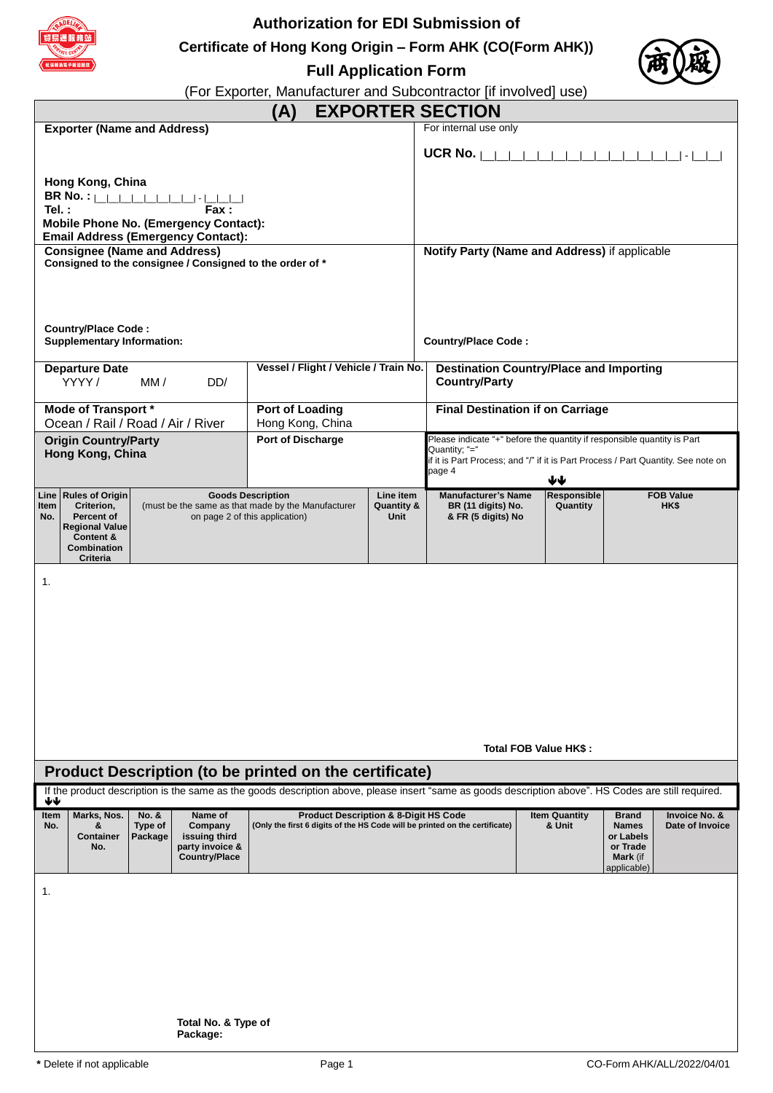

# **Authorization for EDI Submission of**

**Certificate of Hong Kong Origin – Form AHK (CO(Form AHK))**



**Full Application Form**

(For Exporter, Manufacturer and Subcontractor [if involved] use)

|                                                                                                                                                                       |                                                                                                  |                                                                                                                  |                                                                     | (A)                                                                                                             |                                          |                                                                                                                                                                                         | <b>EXPORTER SECTION</b>                                                                                                                              |                  |                                |                                                                                         |                                  |
|-----------------------------------------------------------------------------------------------------------------------------------------------------------------------|--------------------------------------------------------------------------------------------------|------------------------------------------------------------------------------------------------------------------|---------------------------------------------------------------------|-----------------------------------------------------------------------------------------------------------------|------------------------------------------|-----------------------------------------------------------------------------------------------------------------------------------------------------------------------------------------|------------------------------------------------------------------------------------------------------------------------------------------------------|------------------|--------------------------------|-----------------------------------------------------------------------------------------|----------------------------------|
|                                                                                                                                                                       | <b>Exporter (Name and Address)</b>                                                               |                                                                                                                  |                                                                     |                                                                                                                 |                                          |                                                                                                                                                                                         | For internal use only                                                                                                                                |                  |                                |                                                                                         |                                  |
|                                                                                                                                                                       |                                                                                                  |                                                                                                                  |                                                                     |                                                                                                                 |                                          |                                                                                                                                                                                         | UCR No. $\vert$                                                                                                                                      |                  |                                |                                                                                         | _  -                             |
| Hong Kong, China<br><b>BR No.</b> : $  $ $  $ $  $ $  $<br>Tel.:<br>Fax:<br><b>Mobile Phone No. (Emergency Contact):</b><br><b>Email Address (Emergency Contact):</b> |                                                                                                  |                                                                                                                  |                                                                     |                                                                                                                 |                                          |                                                                                                                                                                                         |                                                                                                                                                      |                  |                                |                                                                                         |                                  |
|                                                                                                                                                                       | <b>Consignee (Name and Address)</b>                                                              |                                                                                                                  |                                                                     |                                                                                                                 |                                          |                                                                                                                                                                                         | Notify Party (Name and Address) if applicable                                                                                                        |                  |                                |                                                                                         |                                  |
| Consigned to the consignee / Consigned to the order of *                                                                                                              |                                                                                                  |                                                                                                                  |                                                                     |                                                                                                                 |                                          |                                                                                                                                                                                         |                                                                                                                                                      |                  |                                |                                                                                         |                                  |
|                                                                                                                                                                       | <b>Country/Place Code:</b><br><b>Supplementary Information:</b>                                  |                                                                                                                  |                                                                     |                                                                                                                 |                                          |                                                                                                                                                                                         | <b>Country/Place Code:</b>                                                                                                                           |                  |                                |                                                                                         |                                  |
|                                                                                                                                                                       | <b>Departure Date</b><br>YYYY/                                                                   | MM/                                                                                                              | DD/                                                                 | Vessel / Flight / Vehicle / Train No.<br><b>Destination Country/Place and Importing</b><br><b>Country/Party</b> |                                          |                                                                                                                                                                                         |                                                                                                                                                      |                  |                                |                                                                                         |                                  |
|                                                                                                                                                                       | Mode of Transport *                                                                              |                                                                                                                  |                                                                     | Port of Loading                                                                                                 |                                          | <b>Final Destination if on Carriage</b>                                                                                                                                                 |                                                                                                                                                      |                  |                                |                                                                                         |                                  |
|                                                                                                                                                                       | Ocean / Rail / Road / Air / River                                                                |                                                                                                                  |                                                                     | Hong Kong, China                                                                                                |                                          |                                                                                                                                                                                         |                                                                                                                                                      |                  |                                |                                                                                         |                                  |
|                                                                                                                                                                       | <b>Origin Country/Party</b><br>Hong Kong, China                                                  |                                                                                                                  |                                                                     | <b>Port of Discharge</b>                                                                                        |                                          | Please indicate "+" before the quantity if responsible quantity is Part<br>Quantity; "="<br>if it is Part Process; and "/" if it is Part Process / Part Quantity. See note on<br>page 4 |                                                                                                                                                      |                  |                                |                                                                                         |                                  |
|                                                                                                                                                                       | Line Rules of Origin                                                                             |                                                                                                                  |                                                                     | Line item                                                                                                       |                                          | <b>Manufacturer's Name</b>                                                                                                                                                              |                                                                                                                                                      | ₩<br>Responsible |                                | <b>FOB Value</b>                                                                        |                                  |
| Item<br>No.                                                                                                                                                           | Criterion,<br>Percent of<br><b>Regional Value</b><br>Content &<br>Combination<br><b>Criteria</b> | <b>Goods Description</b><br>(must be the same as that made by the Manufacturer<br>on page 2 of this application) |                                                                     | <b>Quantity &amp;</b><br>Unit                                                                                   | BR (11 digits) No.<br>& FR (5 digits) No |                                                                                                                                                                                         | Quantity                                                                                                                                             |                  | HK\$                           |                                                                                         |                                  |
|                                                                                                                                                                       | 1.                                                                                               |                                                                                                                  |                                                                     |                                                                                                                 |                                          |                                                                                                                                                                                         |                                                                                                                                                      |                  |                                |                                                                                         |                                  |
|                                                                                                                                                                       |                                                                                                  |                                                                                                                  |                                                                     |                                                                                                                 |                                          |                                                                                                                                                                                         |                                                                                                                                                      |                  | Total FOB Value HK\$:          |                                                                                         |                                  |
|                                                                                                                                                                       |                                                                                                  |                                                                                                                  |                                                                     | Product Description (to be printed on the certificate)                                                          |                                          |                                                                                                                                                                                         | If the product description is the same as the goods description above, please insert "same as goods description above". HS Codes are still required. |                  |                                |                                                                                         |                                  |
| ₩                                                                                                                                                                     |                                                                                                  |                                                                                                                  | Name of                                                             |                                                                                                                 |                                          |                                                                                                                                                                                         |                                                                                                                                                      |                  |                                |                                                                                         |                                  |
| Item<br>No.                                                                                                                                                           | Marks, Nos.<br>&<br><b>Container</b><br>No.                                                      | <b>No. &amp;</b><br>Type of<br>Package                                                                           | Company<br>issuing third<br>party invoice &<br><b>Country/Place</b> |                                                                                                                 |                                          | <b>Product Description &amp; 8-Digit HS Code</b>                                                                                                                                        | (Only the first 6 digits of the HS Code will be printed on the certificate)                                                                          |                  | <b>Item Quantity</b><br>& Unit | <b>Brand</b><br><b>Names</b><br>or Labels<br>or Trade<br><b>Mark</b> (if<br>applicable) | Invoice No. &<br>Date of Invoice |
| 1.                                                                                                                                                                    |                                                                                                  |                                                                                                                  | Total No. & Type of<br>Package:                                     |                                                                                                                 |                                          |                                                                                                                                                                                         |                                                                                                                                                      |                  |                                |                                                                                         |                                  |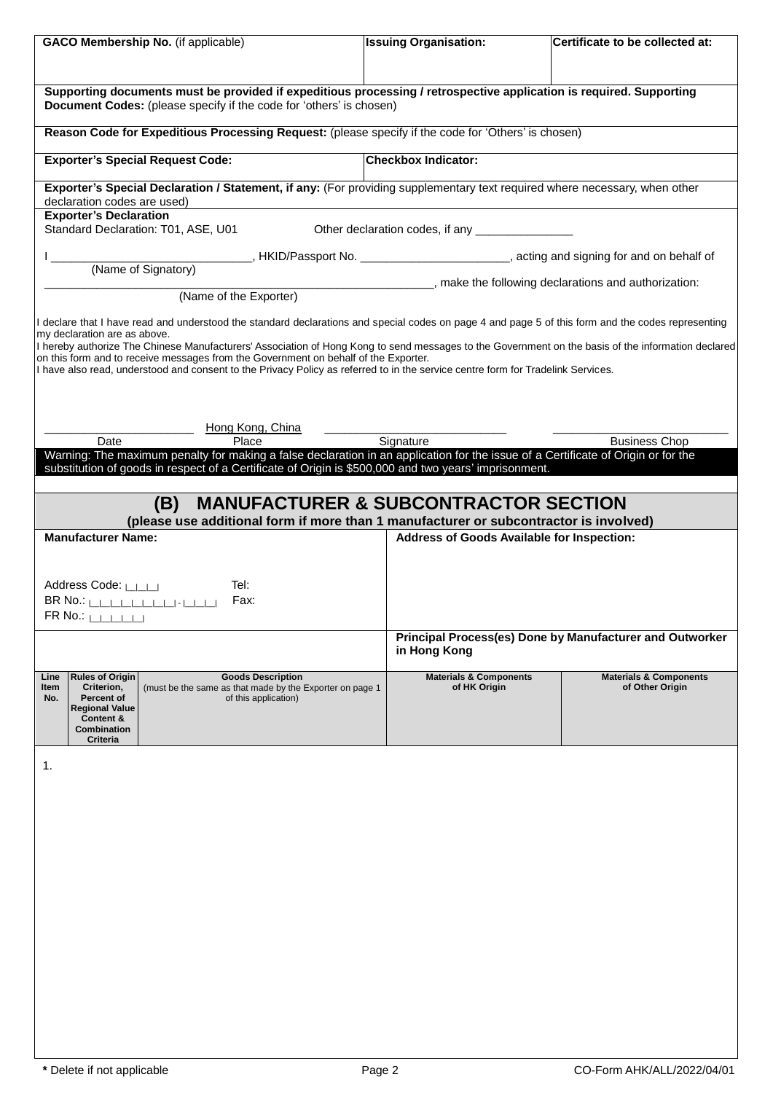| <b>GACO Membership No.</b> (if applicable)                                                                                                                                                                                                                                                                                                                                    | <b>Issuing Organisation:</b><br>Certificate to be collected at: |                                                          |  |  |
|-------------------------------------------------------------------------------------------------------------------------------------------------------------------------------------------------------------------------------------------------------------------------------------------------------------------------------------------------------------------------------|-----------------------------------------------------------------|----------------------------------------------------------|--|--|
|                                                                                                                                                                                                                                                                                                                                                                               |                                                                 |                                                          |  |  |
| Supporting documents must be provided if expeditious processing / retrospective application is required. Supporting<br>Document Codes: (please specify if the code for 'others' is chosen)                                                                                                                                                                                    |                                                                 |                                                          |  |  |
| Reason Code for Expeditious Processing Request: (please specify if the code for 'Others' is chosen)                                                                                                                                                                                                                                                                           |                                                                 |                                                          |  |  |
| <b>Exporter's Special Request Code:</b>                                                                                                                                                                                                                                                                                                                                       | <b>Checkbox Indicator:</b>                                      |                                                          |  |  |
| Exporter's Special Declaration / Statement, if any: (For providing supplementary text required where necessary, when other<br>declaration codes are used)                                                                                                                                                                                                                     |                                                                 |                                                          |  |  |
| <b>Exporter's Declaration</b><br>Standard Declaration: T01, ASE, U01                                                                                                                                                                                                                                                                                                          | Other declaration codes, if any                                 |                                                          |  |  |
| _____________, HKID/Passport No. __________________________, acting and signing for and on behalf of<br>(Name of Signatory)                                                                                                                                                                                                                                                   |                                                                 |                                                          |  |  |
| (Name of the Exporter)                                                                                                                                                                                                                                                                                                                                                        | _____, make the following declarations and authorization:       |                                                          |  |  |
| declare that I have read and understood the standard declarations and special codes on page 4 and page 5 of this form and the codes representing<br>my declaration are as above.                                                                                                                                                                                              |                                                                 |                                                          |  |  |
| I hereby authorize The Chinese Manufacturers' Association of Hong Kong to send messages to the Government on the basis of the information declared<br>on this form and to receive messages from the Government on behalf of the Exporter.<br>I have also read, understood and consent to the Privacy Policy as referred to in the service centre form for Tradelink Services. |                                                                 |                                                          |  |  |
|                                                                                                                                                                                                                                                                                                                                                                               |                                                                 |                                                          |  |  |
| Hong Kong, China                                                                                                                                                                                                                                                                                                                                                              |                                                                 |                                                          |  |  |
| Place<br>Date<br>Warning: The maximum penalty for making a false declaration in an application for the issue of a Certificate of Origin or for the                                                                                                                                                                                                                            | Signature                                                       | <b>Business Chop</b>                                     |  |  |
| substitution of goods in respect of a Certificate of Origin is \$500,000 and two years' imprisonment.                                                                                                                                                                                                                                                                         |                                                                 |                                                          |  |  |
| (B)<br>(please use additional form if more than 1 manufacturer or subcontractor is involved)                                                                                                                                                                                                                                                                                  | <b>MANUFACTURER &amp; SUBCONTRACTOR SECTION</b>                 |                                                          |  |  |
| <b>Manufacturer Name:</b>                                                                                                                                                                                                                                                                                                                                                     | Address of Goods Available for Inspection:                      |                                                          |  |  |
| Address Code: LILLI<br>Tel:                                                                                                                                                                                                                                                                                                                                                   |                                                                 |                                                          |  |  |
| $BR \ No.: \$<br>Fax:<br>FR No.: <sub> </sub> _ _ _ _ _                                                                                                                                                                                                                                                                                                                       |                                                                 |                                                          |  |  |
|                                                                                                                                                                                                                                                                                                                                                                               | in Hong Kong                                                    | Principal Process(es) Done by Manufacturer and Outworker |  |  |
| Line<br><b>Rules of Origin</b><br><b>Goods Description</b><br>Item<br>Criterion,<br>(must be the same as that made by the Exporter on page 1<br>Percent of<br>No.<br>of this application)<br><b>Regional Value</b><br>Content &<br>Combination<br>Criteria                                                                                                                    | <b>Materials &amp; Components</b><br>of HK Origin               | <b>Materials &amp; Components</b><br>of Other Origin     |  |  |
| 1.                                                                                                                                                                                                                                                                                                                                                                            |                                                                 |                                                          |  |  |
|                                                                                                                                                                                                                                                                                                                                                                               |                                                                 |                                                          |  |  |
|                                                                                                                                                                                                                                                                                                                                                                               |                                                                 |                                                          |  |  |
|                                                                                                                                                                                                                                                                                                                                                                               |                                                                 |                                                          |  |  |
|                                                                                                                                                                                                                                                                                                                                                                               |                                                                 |                                                          |  |  |
|                                                                                                                                                                                                                                                                                                                                                                               |                                                                 |                                                          |  |  |
|                                                                                                                                                                                                                                                                                                                                                                               |                                                                 |                                                          |  |  |
|                                                                                                                                                                                                                                                                                                                                                                               |                                                                 |                                                          |  |  |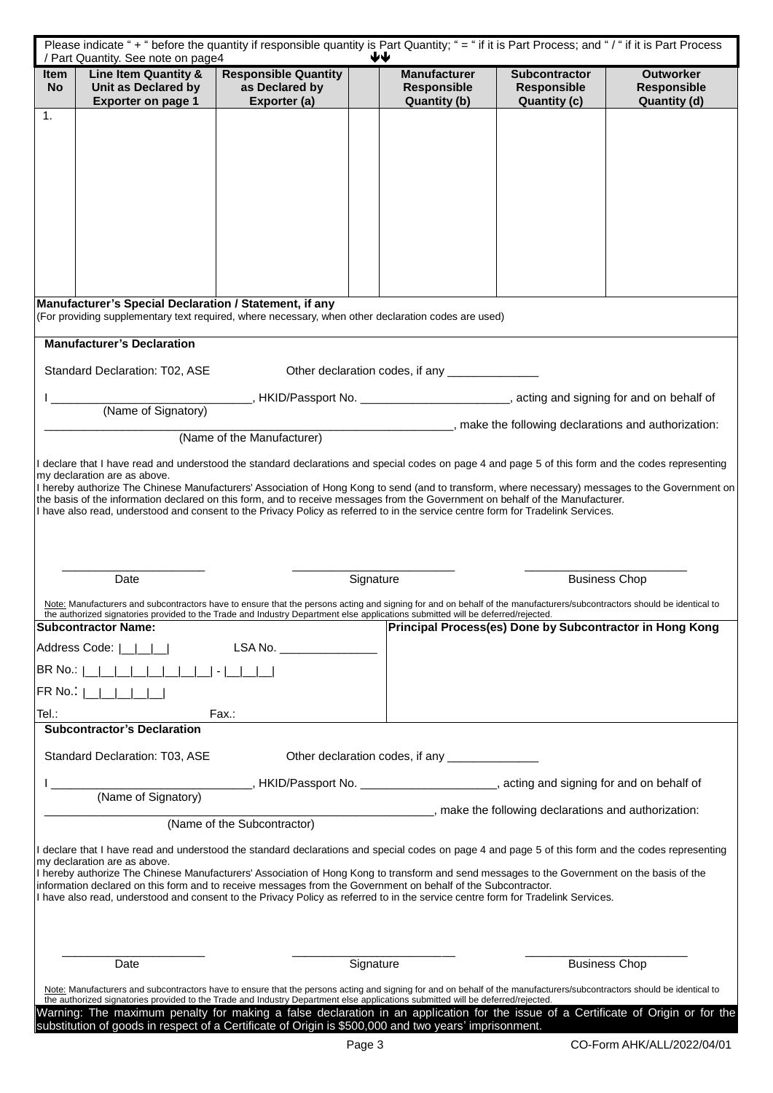| Please indicate "+ " before the quantity if responsible quantity is Part Quantity; " = " if it is Part Process; and "/ " if it is Part Process<br>₩<br>/ Part Quantity. See note on page4                                                                                                                                                                                                                                        |                                                                                                                                                                                                                                                                                                                                                                               |                                                                                             |           |                                                           |                                                                   |                                                                           |  |
|----------------------------------------------------------------------------------------------------------------------------------------------------------------------------------------------------------------------------------------------------------------------------------------------------------------------------------------------------------------------------------------------------------------------------------|-------------------------------------------------------------------------------------------------------------------------------------------------------------------------------------------------------------------------------------------------------------------------------------------------------------------------------------------------------------------------------|---------------------------------------------------------------------------------------------|-----------|-----------------------------------------------------------|-------------------------------------------------------------------|---------------------------------------------------------------------------|--|
| Item<br><b>No</b>                                                                                                                                                                                                                                                                                                                                                                                                                | Line Item Quantity &<br>Unit as Declared by<br><b>Exporter on page 1</b>                                                                                                                                                                                                                                                                                                      | <b>Responsible Quantity</b><br>as Declared by<br>Exporter (a)                               |           | <b>Manufacturer</b><br>Responsible<br><b>Quantity (b)</b> | <b>Subcontractor</b><br><b>Responsible</b><br><b>Quantity (c)</b> | <b>Outworker</b><br><b>Responsible</b><br><b>Quantity (d)</b>             |  |
| 1.                                                                                                                                                                                                                                                                                                                                                                                                                               |                                                                                                                                                                                                                                                                                                                                                                               |                                                                                             |           |                                                           |                                                                   |                                                                           |  |
|                                                                                                                                                                                                                                                                                                                                                                                                                                  |                                                                                                                                                                                                                                                                                                                                                                               |                                                                                             |           |                                                           |                                                                   |                                                                           |  |
|                                                                                                                                                                                                                                                                                                                                                                                                                                  |                                                                                                                                                                                                                                                                                                                                                                               |                                                                                             |           |                                                           |                                                                   |                                                                           |  |
|                                                                                                                                                                                                                                                                                                                                                                                                                                  |                                                                                                                                                                                                                                                                                                                                                                               |                                                                                             |           |                                                           |                                                                   |                                                                           |  |
|                                                                                                                                                                                                                                                                                                                                                                                                                                  |                                                                                                                                                                                                                                                                                                                                                                               |                                                                                             |           |                                                           |                                                                   |                                                                           |  |
|                                                                                                                                                                                                                                                                                                                                                                                                                                  |                                                                                                                                                                                                                                                                                                                                                                               |                                                                                             |           |                                                           |                                                                   |                                                                           |  |
|                                                                                                                                                                                                                                                                                                                                                                                                                                  |                                                                                                                                                                                                                                                                                                                                                                               |                                                                                             |           |                                                           |                                                                   |                                                                           |  |
|                                                                                                                                                                                                                                                                                                                                                                                                                                  | Manufacturer's Special Declaration / Statement, if any<br>(For providing supplementary text required, where necessary, when other declaration codes are used)                                                                                                                                                                                                                 |                                                                                             |           |                                                           |                                                                   |                                                                           |  |
|                                                                                                                                                                                                                                                                                                                                                                                                                                  | <b>Manufacturer's Declaration</b>                                                                                                                                                                                                                                                                                                                                             |                                                                                             |           |                                                           |                                                                   |                                                                           |  |
|                                                                                                                                                                                                                                                                                                                                                                                                                                  | Standard Declaration: T02, ASE                                                                                                                                                                                                                                                                                                                                                |                                                                                             |           | Other declaration codes, if any _____________             |                                                                   |                                                                           |  |
|                                                                                                                                                                                                                                                                                                                                                                                                                                  | (Name of Signatory)                                                                                                                                                                                                                                                                                                                                                           | HKID/Passport No. ________________________________, acting and signing for and on behalf of |           |                                                           |                                                                   |                                                                           |  |
|                                                                                                                                                                                                                                                                                                                                                                                                                                  |                                                                                                                                                                                                                                                                                                                                                                               | (Name of the Manufacturer)                                                                  |           |                                                           |                                                                   | _____________________, make the following declarations and authorization: |  |
|                                                                                                                                                                                                                                                                                                                                                                                                                                  | declare that I have read and understood the standard declarations and special codes on page 4 and page 5 of this form and the codes representing                                                                                                                                                                                                                              |                                                                                             |           |                                                           |                                                                   |                                                                           |  |
|                                                                                                                                                                                                                                                                                                                                                                                                                                  | my declaration are as above.<br>I hereby authorize The Chinese Manufacturers' Association of Hong Kong to send (and to transform, where necessary) messages to the Government on                                                                                                                                                                                              |                                                                                             |           |                                                           |                                                                   |                                                                           |  |
|                                                                                                                                                                                                                                                                                                                                                                                                                                  | the basis of the information declared on this form, and to receive messages from the Government on behalf of the Manufacturer.<br>I have also read, understood and consent to the Privacy Policy as referred to in the service centre form for Tradelink Services.                                                                                                            |                                                                                             |           |                                                           |                                                                   |                                                                           |  |
|                                                                                                                                                                                                                                                                                                                                                                                                                                  |                                                                                                                                                                                                                                                                                                                                                                               |                                                                                             |           |                                                           |                                                                   |                                                                           |  |
|                                                                                                                                                                                                                                                                                                                                                                                                                                  |                                                                                                                                                                                                                                                                                                                                                                               |                                                                                             |           |                                                           |                                                                   |                                                                           |  |
|                                                                                                                                                                                                                                                                                                                                                                                                                                  | Date                                                                                                                                                                                                                                                                                                                                                                          |                                                                                             | Signature |                                                           |                                                                   | <b>Business Chop</b>                                                      |  |
|                                                                                                                                                                                                                                                                                                                                                                                                                                  | Note: Manufacturers and subcontractors have to ensure that the persons acting and signing for and on behalf of the manufacturers/subcontractors should be identical to<br>the authorized signatories provided to the Trade and Industry Department else applications submitted will be deferred/rejected.<br><b>Subcontractor Name:</b>                                       |                                                                                             |           |                                                           |                                                                   | Principal Process(es) Done by Subcontractor in Hong Kong                  |  |
|                                                                                                                                                                                                                                                                                                                                                                                                                                  | Address Code:                                                                                                                                                                                                                                                                                                                                                                 | LSA No. ____________                                                                        |           |                                                           |                                                                   |                                                                           |  |
| BR No.:                                                                                                                                                                                                                                                                                                                                                                                                                          |                                                                                                                                                                                                                                                                                                                                                                               |                                                                                             |           |                                                           |                                                                   |                                                                           |  |
| FR No.1                                                                                                                                                                                                                                                                                                                                                                                                                          |                                                                                                                                                                                                                                                                                                                                                                               |                                                                                             |           |                                                           |                                                                   |                                                                           |  |
| Tel.:                                                                                                                                                                                                                                                                                                                                                                                                                            | <b>Subcontractor's Declaration</b>                                                                                                                                                                                                                                                                                                                                            | Fax.:                                                                                       |           |                                                           |                                                                   |                                                                           |  |
|                                                                                                                                                                                                                                                                                                                                                                                                                                  | Standard Declaration: T03, ASE                                                                                                                                                                                                                                                                                                                                                |                                                                                             |           | Other declaration codes, if any ________________          |                                                                   |                                                                           |  |
|                                                                                                                                                                                                                                                                                                                                                                                                                                  |                                                                                                                                                                                                                                                                                                                                                                               |                                                                                             |           |                                                           |                                                                   |                                                                           |  |
|                                                                                                                                                                                                                                                                                                                                                                                                                                  | (Name of Signatory)                                                                                                                                                                                                                                                                                                                                                           |                                                                                             |           |                                                           | make the following declarations and authorization:                |                                                                           |  |
|                                                                                                                                                                                                                                                                                                                                                                                                                                  |                                                                                                                                                                                                                                                                                                                                                                               | (Name of the Subcontractor)                                                                 |           |                                                           |                                                                   |                                                                           |  |
|                                                                                                                                                                                                                                                                                                                                                                                                                                  | l declare that I have read and understood the standard declarations and special codes on page 4 and page 5 of this form and the codes representing                                                                                                                                                                                                                            |                                                                                             |           |                                                           |                                                                   |                                                                           |  |
| my declaration are as above.<br>I hereby authorize The Chinese Manufacturers' Association of Hong Kong to transform and send messages to the Government on the basis of the<br>information declared on this form and to receive messages from the Government on behalf of the Subcontractor.<br>I have also read, understood and consent to the Privacy Policy as referred to in the service centre form for Tradelink Services. |                                                                                                                                                                                                                                                                                                                                                                               |                                                                                             |           |                                                           |                                                                   |                                                                           |  |
|                                                                                                                                                                                                                                                                                                                                                                                                                                  |                                                                                                                                                                                                                                                                                                                                                                               |                                                                                             |           |                                                           |                                                                   |                                                                           |  |
|                                                                                                                                                                                                                                                                                                                                                                                                                                  | Date                                                                                                                                                                                                                                                                                                                                                                          |                                                                                             | Signature |                                                           |                                                                   | <b>Business Chop</b>                                                      |  |
|                                                                                                                                                                                                                                                                                                                                                                                                                                  | Note: Manufacturers and subcontractors have to ensure that the persons acting and signing for and on behalf of the manufacturers/subcontractors should be identical to                                                                                                                                                                                                        |                                                                                             |           |                                                           |                                                                   |                                                                           |  |
|                                                                                                                                                                                                                                                                                                                                                                                                                                  | the authorized signatories provided to the Trade and Industry Department else applications submitted will be deferred/rejected.<br>Warning: The maximum penalty for making a false declaration in an application for the issue of a Certificate of Origin or for the<br>substitution of goods in respect of a Certificate of Origin is \$500,000 and two years' imprisonment. |                                                                                             |           |                                                           |                                                                   |                                                                           |  |
|                                                                                                                                                                                                                                                                                                                                                                                                                                  |                                                                                                                                                                                                                                                                                                                                                                               |                                                                                             | Page 3    |                                                           |                                                                   | CO-Form AHK/ALL/2022/04/01                                                |  |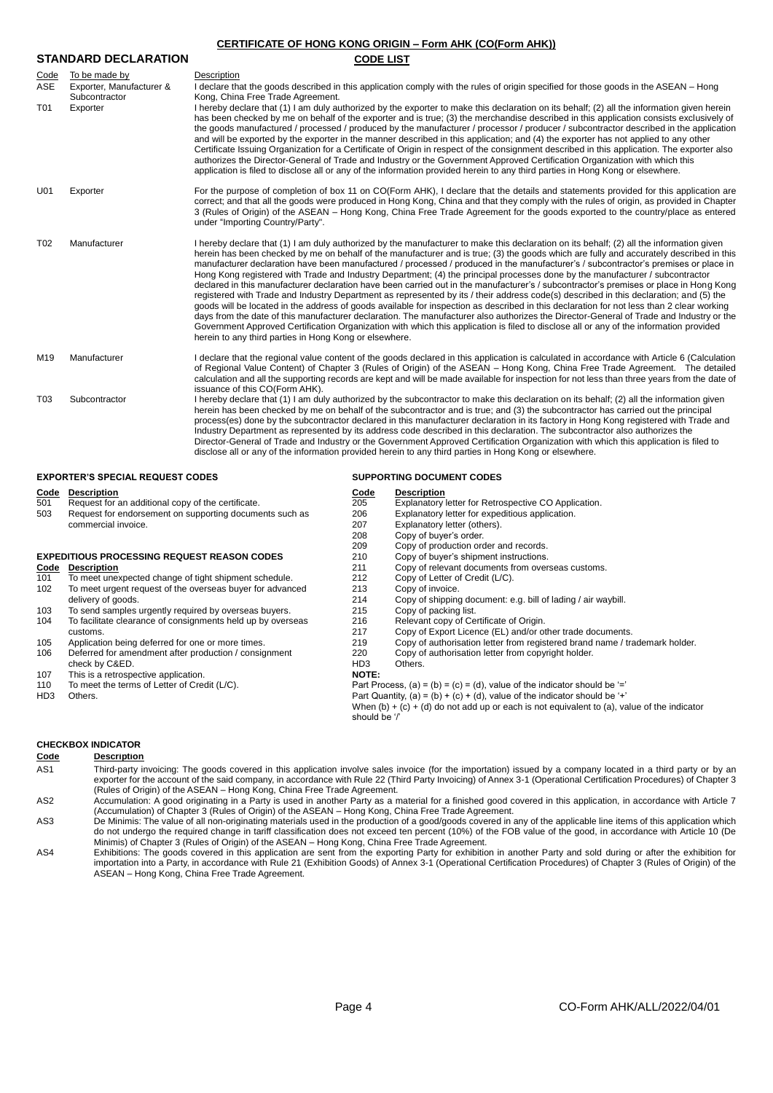| <b>CERTIFICATE OF HONG KONG ORIGIN - Form AHK (CO(Form AHK))</b> |                                                                        |                                                                                                                                                                                                                                                                                                                                                                                                                                                                                                                                                                                                                                                                                                                                                                                                                                                                                                                                                                                                                                                                                                                                                                                                                                                                                                                                             |  |  |  |  |
|------------------------------------------------------------------|------------------------------------------------------------------------|---------------------------------------------------------------------------------------------------------------------------------------------------------------------------------------------------------------------------------------------------------------------------------------------------------------------------------------------------------------------------------------------------------------------------------------------------------------------------------------------------------------------------------------------------------------------------------------------------------------------------------------------------------------------------------------------------------------------------------------------------------------------------------------------------------------------------------------------------------------------------------------------------------------------------------------------------------------------------------------------------------------------------------------------------------------------------------------------------------------------------------------------------------------------------------------------------------------------------------------------------------------------------------------------------------------------------------------------|--|--|--|--|
| <b>STANDARD DECLARATION</b>                                      |                                                                        | <b>CODE LIST</b>                                                                                                                                                                                                                                                                                                                                                                                                                                                                                                                                                                                                                                                                                                                                                                                                                                                                                                                                                                                                                                                                                                                                                                                                                                                                                                                            |  |  |  |  |
| Code<br>ASE<br>T01                                               | To be made by<br>Exporter, Manufacturer &<br>Subcontractor<br>Exporter | Description<br>I declare that the goods described in this application comply with the rules of origin specified for those goods in the ASEAN – Hong<br>Kong, China Free Trade Agreement.<br>I hereby declare that (1) I am duly authorized by the exporter to make this declaration on its behalf; (2) all the information given herein<br>has been checked by me on behalf of the exporter and is true; (3) the merchandise described in this application consists exclusively of<br>the goods manufactured / processed / produced by the manufacturer / processor / producer / subcontractor described in the application<br>and will be exported by the exporter in the manner described in this application; and (4) the exporter has not applied to any other<br>Certificate Issuing Organization for a Certificate of Origin in respect of the consignment described in this application. The exporter also<br>authorizes the Director-General of Trade and Industry or the Government Approved Certification Organization with which this<br>application is filed to disclose all or any of the information provided herein to any third parties in Hong Kong or elsewhere.                                                                                                                                                          |  |  |  |  |
| U01                                                              | Exporter                                                               | For the purpose of completion of box 11 on CO(Form AHK), I declare that the details and statements provided for this application are<br>correct; and that all the goods were produced in Hong Kong, China and that they comply with the rules of origin, as provided in Chapter<br>3 (Rules of Origin) of the ASEAN – Hong Kong, China Free Trade Agreement for the goods exported to the country/place as entered<br>under "Importing Country/Party".                                                                                                                                                                                                                                                                                                                                                                                                                                                                                                                                                                                                                                                                                                                                                                                                                                                                                      |  |  |  |  |
| T <sub>02</sub>                                                  | Manufacturer                                                           | I hereby declare that (1) I am duly authorized by the manufacturer to make this declaration on its behalf; (2) all the information given<br>herein has been checked by me on behalf of the manufacturer and is true; (3) the goods which are fully and accurately described in this<br>manufacturer declaration have been manufactured / processed / produced in the manufacturer's / subcontractor's premises or place in<br>Hong Kong registered with Trade and Industry Department; (4) the principal processes done by the manufacturer / subcontractor<br>declared in this manufacturer declaration have been carried out in the manufacturer's / subcontractor's premises or place in Hong Kong<br>registered with Trade and Industry Department as represented by its / their address code(s) described in this declaration; and (5) the<br>goods will be located in the address of goods available for inspection as described in this declaration for not less than 2 clear working<br>days from the date of this manufacturer declaration. The manufacturer also authorizes the Director-General of Trade and Industry or the<br>Government Approved Certification Organization with which this application is filed to disclose all or any of the information provided<br>herein to any third parties in Hong Kong or elsewhere. |  |  |  |  |
| M <sub>19</sub>                                                  | Manufacturer                                                           | I declare that the regional value content of the goods declared in this application is calculated in accordance with Article 6 (Calculation<br>of Regional Value Content) of Chapter 3 (Rules of Origin) of the ASEAN - Hong Kong, China Free Trade Agreement. The detailed<br>calculation and all the supporting records are kept and will be made available for inspection for not less than three years from the date of<br>issuance of this CO(Form AHK).                                                                                                                                                                                                                                                                                                                                                                                                                                                                                                                                                                                                                                                                                                                                                                                                                                                                               |  |  |  |  |
| T <sub>03</sub>                                                  | Subcontractor                                                          | I hereby declare that (1) I am duly authorized by the subcontractor to make this declaration on its behalf; (2) all the information given<br>herein has been checked by me on behalf of the subcontractor and is true; and (3) the subcontractor has carried out the principal<br>process(es) done by the subcontractor declared in this manufacturer declaration in its factory in Hong Kong registered with Trade and<br>Industry Department as represented by its address code described in this declaration. The subcontractor also authorizes the<br>Director-General of Trade and Industry or the Government Approved Certification Organization with which this application is filed to<br>disclose all or any of the information provided herein to any third parties in Hong Kong or elsewhere.                                                                                                                                                                                                                                                                                                                                                                                                                                                                                                                                    |  |  |  |  |

# **EXPORTER'S SPECIAL REQUEST CODES SUPPORTING DOCUMENT CODES**

| <u>Code</u>     | <b>Description</b>                                          | <b>Code</b>     | <b>Description</b>                                                                            |
|-----------------|-------------------------------------------------------------|-----------------|-----------------------------------------------------------------------------------------------|
| 501             | Request for an additional copy of the certificate.          | 205             | Explanatory letter for Retrospective CO Application.                                          |
| 503             | Request for endorsement on supporting documents such as     | 206             | Explanatory letter for expeditious application.                                               |
|                 | commercial invoice.                                         | 207             | Explanatory letter (others).                                                                  |
|                 |                                                             | 208             | Copy of buyer's order.                                                                        |
|                 |                                                             | 209             | Copy of production order and records.                                                         |
|                 | <b>EXPEDITIOUS PROCESSING REQUEST REASON CODES</b>          | 210             | Copy of buyer's shipment instructions.                                                        |
| Code            | <b>Description</b>                                          | 211             | Copy of relevant documents from overseas customs.                                             |
| 101             | To meet unexpected change of tight shipment schedule.       | 212             | Copy of Letter of Credit (L/C).                                                               |
| 102             | To meet urgent request of the overseas buyer for advanced   | 213             | Copy of invoice.                                                                              |
|                 | delivery of goods.                                          | 214             | Copy of shipping document: e.g. bill of lading / air waybill.                                 |
| 103             | To send samples urgently required by overseas buyers.       | 215             | Copy of packing list.                                                                         |
| 104             | To facilitate clearance of consignments held up by overseas | 216             | Relevant copy of Certificate of Origin.                                                       |
|                 | customs.                                                    | 217             | Copy of Export Licence (EL) and/or other trade documents.                                     |
| 105             | Application being deferred for one or more times.           | 219             | Copy of authorisation letter from registered brand name / trademark holder.                   |
| 106             | Deferred for amendment after production / consignment       | 220             | Copy of authorisation letter from copyright holder.                                           |
|                 | check by C&ED.                                              | HD <sub>3</sub> | Others.                                                                                       |
| 107             | This is a retrospective application.                        | <b>NOTE:</b>    |                                                                                               |
| 110             | To meet the terms of Letter of Credit (L/C).                |                 | Part Process, (a) = (b) = (c) = (d), value of the indicator should be $=$                     |
| HD <sub>3</sub> | Others.                                                     |                 | Part Quantity, (a) = (b) + (c) + (d), value of the indicator should be '+'                    |
|                 |                                                             |                 | When $(b) + (c) + (d)$ do not add up or each is not equivalent to (a), value of the indicator |
|                 |                                                             | should be '/'   |                                                                                               |
|                 |                                                             |                 |                                                                                               |

# **CHECKBOX INDICATOR**

| Code            | <b>Description</b>                                                                                                                                                |
|-----------------|-------------------------------------------------------------------------------------------------------------------------------------------------------------------|
| AS1             | Third-party invoicing: The goods covered in this application involve sales invoice (for the importation) issued by a company located in a third party or by an    |
|                 | exporter for the account of the said company, in accordance with Rule 22 (Third Party Invoicing) of Annex 3-1 (Operational Certification Procedures) of Chapter 3 |
|                 | (Rules of Origin) of the ASEAN – Hong Kong, China Free Trade Agreement.                                                                                           |
| AS <sub>2</sub> | Accumulation: A good originating in a Party is used in another Party as a material for a finished good covered in this application, in accordance with Article 7  |

- (Accumulation) of Chapter 3 (Rules of Origin) of the ASEAN Hong Kong, China Free Trade Agreement.<br>AS3 De Minimis: The value of all non-originating materials used in the production of a good/goods covered in any of the ap do not undergo the required change in tariff classification does not exceed ten percent (10%) of the FOB value of the good, in accordance with Article 10 (De
- Minimis) of Chapter 3 (Rules of Origin) of the ASEAN Hong Kong, China Free Trade Agreement.<br>AS4 Exhibitions: The goods covered in this application are sent from the exporting Party for exhibition in anothe importation into a Party, in accordance with Rule 21 (Exhibition Goods) of Annex 3-1 (Operational Certification Procedures) of Chapter 3 (Rules of Origin) of the ASEAN – Hong Kong, China Free Trade Agreement.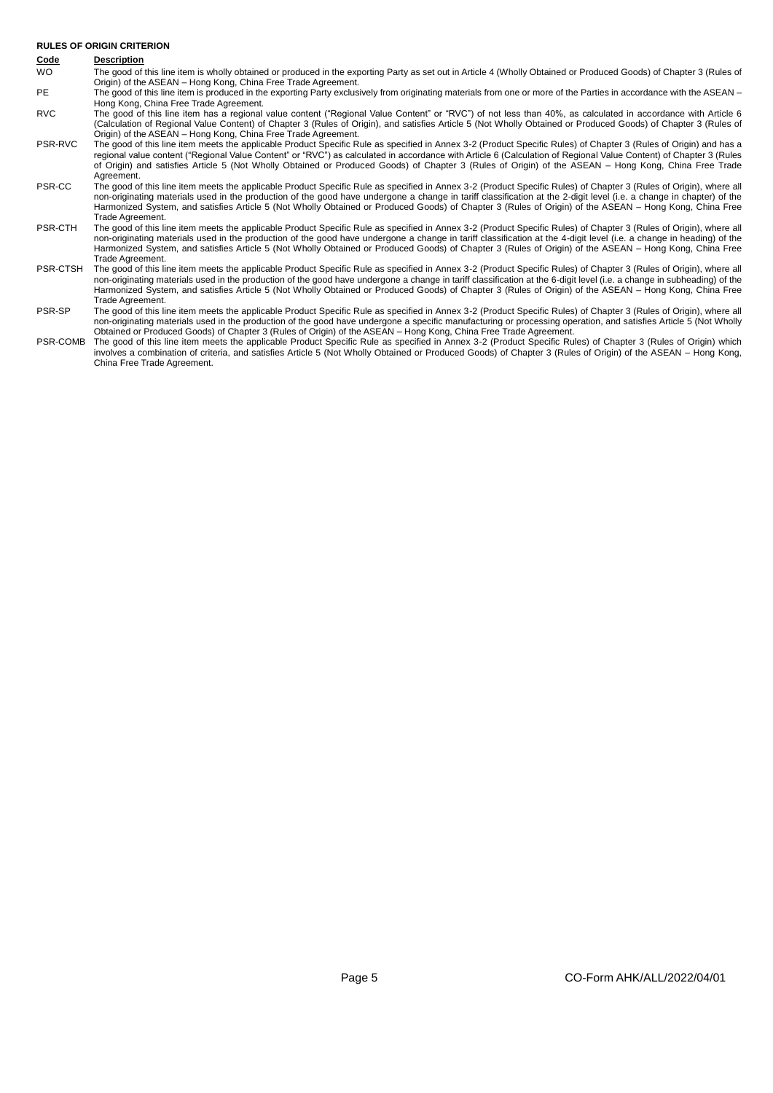# **RULES OF ORIGIN CRITERION**

# **Code Description**

| WO. | The good of this line item is wholly obtained or produced in the exporting Party as set out in Article 4 (Wholly Obtained or Produced Goods) of Chapter 3 (Rules of |
|-----|---------------------------------------------------------------------------------------------------------------------------------------------------------------------|
|     | Origin) of the ASEAN - Hong Kong, China Free Trade Agreement.                                                                                                       |
|     |                                                                                                                                                                     |

PE The good of this line item is produced in the exporting Party exclusively from originating materials from one or more of the Parties in accordance with the ASEAN – Hong Kong, China Free Trade Agreement.

- RVC The good of this line item has a regional value content ("Regional Value Content" or "RVC") of not less than 40%, as calculated in accordance with Article 6 (Calculation of Regional Value Content) of Chapter 3 (Rules of Origin), and satisfies Article 5 (Not Wholly Obtained or Produced Goods) of Chapter 3 (Rules of Origin) of the ASEAN – Hong Kong, China Free Trade Agreement.
- PSR-RVC The good of this line item meets the applicable Product Specific Rule as specified in Annex 3-2 (Product Specific Rules) of Chapter 3 (Rules of Origin) and has a regional value content ("Regional Value Content" or "RVC") as calculated in accordance with Article 6 (Calculation of Regional Value Content) of Chapter 3 (Rules of Origin) and satisfies Article 5 (Not Wholly Obtained or Produced Goods) of Chapter 3 (Rules of Origin) of the ASEAN – Hong Kong, China Free Trade Agreement.
- PSR-CC The good of this line item meets the applicable Product Specific Rule as specified in Annex 3-2 (Product Specific Rules) of Chapter 3 (Rules of Origin), where all non-originating materials used in the production of the good have undergone a change in tariff classification at the 2-digit level (i.e. a change in chapter) of the Harmonized System, and satisfies Article 5 (Not Wholly Obtained or Produced Goods) of Chapter 3 (Rules of Origin) of the ASEAN – Hong Kong, China Free Trade Agreement.
- PSR-CTH The good of this line item meets the applicable Product Specific Rule as specified in Annex 3-2 (Product Specific Rules) of Chapter 3 (Rules of Origin), where all non-originating materials used in the production of the good have undergone a change in tariff classification at the 4-digit level (i.e. a change in heading) of the non-originating materials used in the production of the g Harmonized System, and satisfies Article 5 (Not Wholly Obtained or Produced Goods) of Chapter 3 (Rules of Origin) of the ASEAN – Hong Kong, China Free Trade Agreement.
- PSR-CTSH The good of this line item meets the applicable Product Specific Rule as specified in Annex 3-2 (Product Specific Rules) of Chapter 3 (Rules of Origin), where all non-originating materials used in the production of the good have undergone a change in tariff classification at the 6-digit level (i.e. a change in subheading) of the Harmonized System, and satisfies Article 5 (Not Wholly Obtained or Produced Goods) of Chapter 3 (Rules of Origin) of the ASEAN – Hong Kong, China Free Trade Agreement.
- PSR-SP The good of this line item meets the applicable Product Specific Rule as specified in Annex 3-2 (Product Specific Rules) of Chapter 3 (Rules of Origin), where all non-originating materials used in the production of the good have undergone a specific manufacturing or processing operation, and satisfies Article 5 (Not Wholly Obtained or Produced Goods) of Chapter 3 (Rules of Origin) of the ASEAN – Hong Kong, China Free Trade Agreement.
- PSR-COMB The good of this line item meets the applicable Product Specific Rule as specified in Annex 3-2 (Product Specific Rules) of Chapter 3 (Rules of Origin) which involves a combination of criteria, and satisfies Article 5 (Not Wholly Obtained or Produced Goods) of Chapter 3 (Rules of Origin) of the ASEAN – Hong Kong, China Free Trade Agreement.